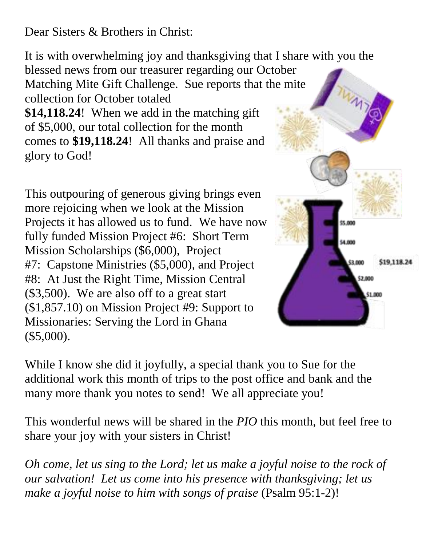Dear Sisters & Brothers in Christ:

It is with overwhelming joy and thanksgiving that I share with you the

blessed news from our treasurer regarding our October Matching Mite Gift Challenge. Sue reports that t[he mite](http://lwml-ned.org/wp-content/uploads/2013/02/beaker-1-e1635888119472.png)  collection for October totaled

**\$14,118.24**! When we add in the matching gift of \$5,000, our total collection for the month comes to **\$19,118.24**! All thanks and praise and glory to God!

This outpouring of generous giving brings even more rejoicing when we look at the Mission Projects it has allowed us to fund. We have now fully funded Mission Project #6: Short Term Mission Scholarships (\$6,000), Project #7: Capstone Ministries (\$5,000), and Project #8: At Just the Right Time, Mission Central (\$3,500). We are also off to a great start (\$1,857.10) on Mission Project #9: Support to Missionaries: Serving the Lord in Ghana (\$5,000).



While I know she did it joyfully, a special thank you to Sue for the additional work this month of trips to the post office and bank and the many more thank you notes to send! We all appreciate you!

This wonderful news will be shared in the *PIO* this month, but feel free to share your joy with your sisters in Christ!

*Oh come, let us sing to the Lord; let us make a joyful noise to the rock of our salvation! Let us come into his presence with thanksgiving; let us make a joyful noise to him with songs of praise* (Psalm 95:1-2)!